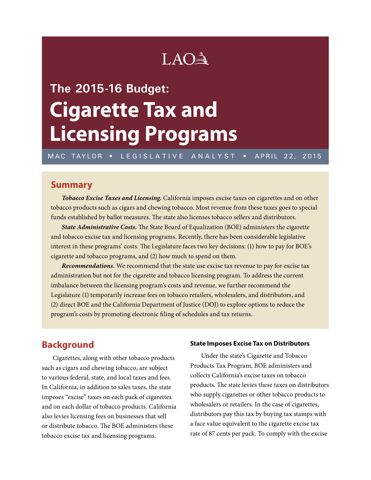## LAO<sup>A</sup>

# **The 2015-16 Budget: Cigarette Tax and Licensing Programs**

MAC TAYLOR • LEGISLATIVE ANALYST • APRIL 22, 2015

## **Summary**

*Tobacco Excise Taxes and Licensing.* California imposes excise taxes on cigarettes and on other tobacco products such as cigars and chewing tobacco. Most revenue from these taxes goes to special funds established by ballot measures. The state also licenses tobacco sellers and distributors.

*State Administrative Costs.* The State Board of Equalization (BOE) administers the cigarette and tobacco excise tax and licensing programs. Recently, there has been considerable legislative interest in these programs' costs. The Legislature faces two key decisions: (1) how to pay for BOE's cigarette and tobacco programs, and (2) how much to spend on them.

*Recommendations.* We recommend that the state use excise tax revenue to pay for excise tax administration but not for the cigarette and tobacco licensing program. To address the current imbalance between the licensing program's costs and revenue, we further recommend the Legislature (1) temporarily increase fees on tobacco retailers, wholesalers, and distributors, and (2) direct BOE and the California Department of Justice (DOJ) to explore options to reduce the program's costs by promoting electronic filing of schedules and tax returns.

## **Background**

Cigarettes, along with other tobacco products such as cigars and chewing tobacco, are subject to various federal, state, and local taxes and fees. In California, in addition to sales taxes, the state imposes "excise" taxes on each pack of cigarettes and on each dollar of tobacco products. California also levies licensing fees on businesses that sell or distribute tobacco. The BOE administers these tobacco excise tax and licensing programs.

#### **State Imposes Excise Tax on Distributors**

Under the state's Cigarette and Tobacco Products Tax Program, BOE administers and collects California's excise taxes on tobacco products. The state levies these taxes on distributors who supply cigarettes or other tobacco products to wholesalers or retailers. In the case of cigarettes, distributors pay this tax by buying tax stamps with a face value equivalent to the cigarette excise tax rate of 87 cents per pack. To comply with the excise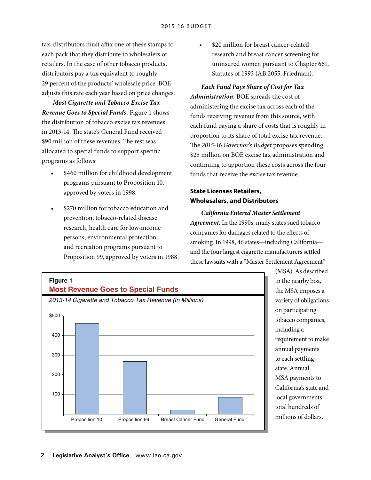tax, distributors must affix one of these stamps to each pack that they distribute to wholesalers or retailers. In the case of other tobacco products, distributors pay a tax equivalent to roughly 29 percent of the products' wholesale price. BOE adjusts this rate each year based on price changes.

*Most Cigarette and Tobacco Excise Tax Revenue Goes to Special Funds.* Figure 1 shows the distribution of tobacco excise tax revenues in 2013-14. The state's General Fund received \$90 million of these revenues. The rest was allocated to special funds to support specific programs as follows:

- \$460 million for childhood development programs pursuant to Proposition 10, approved by voters in 1998.
- \$270 million for tobacco education and prevention, tobacco-related disease research, health care for low-income persons, environmental protection, and recreation programs pursuant to Proposition 99, approved by voters in 1988.

\$20 million for breast cancer-related research and breast cancer screening for uninsured women pursuant to Chapter 661, Statutes of 1993 (AB 2055, Friedman).

*Each Fund Pays Share of Cost for Tax Administration.* BOE spreads the cost of administering the excise tax across each of the funds receiving revenue from this source, with each fund paying a share of costs that is roughly in proportion to its share of total excise tax revenue. The *2015-16 Governor's Budget* proposes spending \$25 million on BOE excise tax administration and continuing to apportion these costs across the four funds that receive the excise tax revenue.

#### **State Licenses Retailers, Wholesalers, and Distributors Graphic Sign Off**

*California Entered Master Settlement Secretary* Agreement. In the 1990s, many states sued tobacco companies for damages related to the effects of smoking. In 1998, 46 states—including California and the four largest cigarette manufacturers settled these lawsuits with a "Master Settlement Agreement"



(MSA). As described in the nearby box, the MSA imposes a variety of obligations on participating tobacco companies, including a requirement to make annual payments to each settling state. Annual MSA payments to California's state and local governments total hundreds of millions of dollars.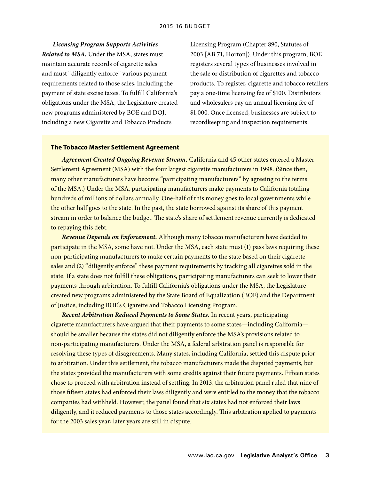*Licensing Program Supports Activities Related to MSA.* Under the MSA, states must maintain accurate records of cigarette sales and must "diligently enforce" various payment requirements related to those sales, including the payment of state excise taxes. To fulfill California's obligations under the MSA, the Legislature created new programs administered by BOE and DOJ, including a new Cigarette and Tobacco Products

Licensing Program (Chapter 890, Statutes of 2003 [AB 71, Horton]). Under this program, BOE registers several types of businesses involved in the sale or distribution of cigarettes and tobacco products. To register, cigarette and tobacco retailers pay a one-time licensing fee of \$100. Distributors and wholesalers pay an annual licensing fee of \$1,000. Once licensed, businesses are subject to recordkeeping and inspection requirements.

#### **The Tobacco Master Settlement Agreement**

*Agreement Created Ongoing Revenue Stream.* California and 45 other states entered a Master Settlement Agreement (MSA) with the four largest cigarette manufacturers in 1998. (Since then, many other manufacturers have become "participating manufacturers" by agreeing to the terms of the MSA.) Under the MSA, participating manufacturers make payments to California totaling hundreds of millions of dollars annually. One-half of this money goes to local governments while the other half goes to the state. In the past, the state borrowed against its share of this payment stream in order to balance the budget. The state's share of settlement revenue currently is dedicated to repaying this debt.

*Revenue Depends on Enforcement.* Although many tobacco manufacturers have decided to participate in the MSA, some have not. Under the MSA, each state must (1) pass laws requiring these non-participating manufacturers to make certain payments to the state based on their cigarette sales and (2) "diligently enforce" these payment requirements by tracking all cigarettes sold in the state. If a state does not fulfill these obligations, participating manufacturers can seek to lower their payments through arbitration. To fulfill California's obligations under the MSA, the Legislature created new programs administered by the State Board of Equalization (BOE) and the Department of Justice, including BOE's Cigarette and Tobacco Licensing Program.

*Recent Arbitration Reduced Payments to Some States.* In recent years, participating cigarette manufacturers have argued that their payments to some states—including California should be smaller because the states did not diligently enforce the MSA's provisions related to non-participating manufacturers. Under the MSA, a federal arbitration panel is responsible for resolving these types of disagreements. Many states, including California, settled this dispute prior to arbitration. Under this settlement, the tobacco manufacturers made the disputed payments, but the states provided the manufacturers with some credits against their future payments. Fifteen states chose to proceed with arbitration instead of settling. In 2013, the arbitration panel ruled that nine of those fifteen states had enforced their laws diligently and were entitled to the money that the tobacco companies had withheld. However, the panel found that six states had not enforced their laws diligently, and it reduced payments to those states accordingly. This arbitration applied to payments for the 2003 sales year; later years are still in dispute.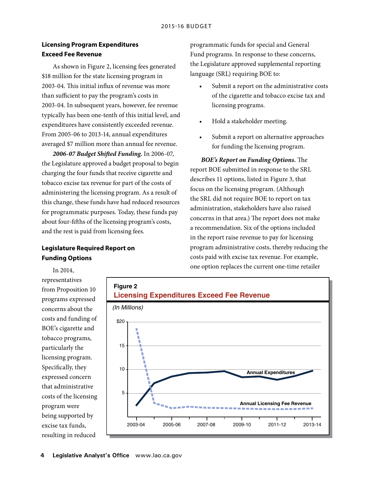#### **Licensing Program Expenditures Exceed Fee Revenue**

As shown in Figure 2, licensing fees generated \$18 million for the state licensing program in 2003-04. This initial influx of revenue was more than sufficient to pay the program's costs in 2003-04. In subsequent years, however, fee revenue typically has been one-tenth of this initial level, and expenditures have consistently exceeded revenue. From 2005-06 to 2013-14, annual expenditures averaged \$7 million more than annual fee revenue.

*2006-07 Budget Shifted Funding.* In 2006-07, the Legislature approved a budget proposal to begin charging the four funds that receive cigarette and tobacco excise tax revenue for part of the costs of administering the licensing program. As a result of this change, these funds have had reduced resources for programmatic purposes. Today, these funds pay about four-fifths of the licensing program's costs, and the rest is paid from licensing fees.

## **Legislature Required Report on Funding Options**

programmatic funds for special and General Fund programs. In response to these concerns, the Legislature approved supplemental reporting language (SRL) requiring BOE to:

- Submit a report on the administrative costs of the cigarette and tobacco excise tax and licensing programs.
- Hold a stakeholder meeting.
- Submit a report on alternative approaches for funding the licensing program.

*BOE's Report on Funding Options.* The report BOE submitted in response to the SRL describes 11 options, listed in Figure 3, that focus on the licensing program. (Although the SRL did not require BOE to report on tax administration, stakeholders have also raised concerns in that area.) The report does not make a recommendation. Six of the options included in the report raise revenue to pay for licensing program administrative costs, thereby reducing the costs paid with excise tax revenue. For example, one option replaces the current one-time retailer

representatives from Proposition 10 programs expressed concerns about the costs and funding of BOE's cigarette and tobacco programs, particularly the licensing program. Specifically, they expressed concern that administrative costs of the licensing program were being supported by excise tax funds, resulting in reduced

In 2014,

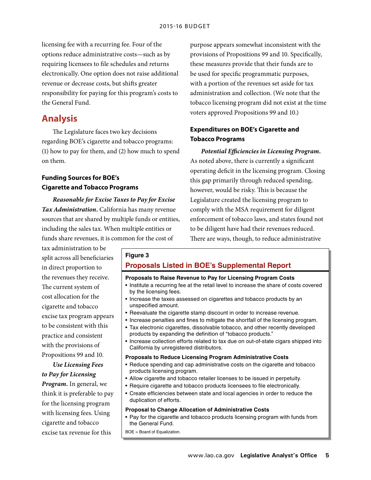licensing fee with a recurring fee. Four of the options reduce administrative costs—such as by requiring licensees to file schedules and returns electronically. One option does not raise additional revenue or decrease costs, but shifts greater responsibility for paying for this program's costs to the General Fund.

## **Analysis**

The Legislature faces two key decisions regarding BOE's cigarette and tobacco programs: (1) how to pay for them, and (2) how much to spend on them.

## **Funding Sources for BOE's Cigarette and Tobacco Programs**

*Reasonable for Excise Taxes to Pay for Excise Tax Administration.* California has many revenue sources that are shared by multiple funds or entities, including the sales tax. When multiple entities or funds share revenues, it is common for the cost of

tax administration to be split across all beneficiaries in direct proportion to the revenues they receive. The current system of cost allocation for the cigarette and tobacco excise tax program appears to be consistent with this practice and consistent with the provisions of Propositions 99 and 10.

*Use Licensing Fees to Pay for Licensing Program.* In general, we think it is preferable to pay for the licensing program with licensing fees. Using cigarette and tobacco excise tax revenue for this

purpose appears somewhat inconsistent with the provisions of Propositions 99 and 10. Specifically, these measures provide that their funds are to be used for specific programmatic purposes, with a portion of the revenues set aside for tax administration and collection. (We note that the tobacco licensing program did not exist at the time voters approved Propositions 99 and 10.)

#### **Expenditures on BOE's Cigarette and Tobacco Programs**

*Potential Efficiencies in Licensing Program.*  As noted above, there is currently a significant operating deficit in the licensing program. Closing this gap primarily through reduced spending, however, would be risky. This is because the Legislature created the licensing program to comply with the MSA requirement for diligent enforcement of tobacco laws, and states found not to be diligent have had their revenues reduced. There are ways, though, to reduce administrative

## **Figure 3 Proposals Listed in BOE's Supplemental Report**

#### **Proposals to Raise Revenue to Pay for Licensing Program Costs**

- Institute a recurring fee at the retail level to increase the share of costs covered by the licensing fees.
- Increase the taxes assessed on cigarettes and tobacco products by an unspecified amount.
- Reevaluate the cigarette stamp discount in order to increase revenue.
- Increase penalties and fines to mitigate the shortfall of the licensing program.
- Tax electronic cigarettes, dissolvable tobacco, and other recently developed products by expanding the definition of "tobacco products."
- Increase collection efforts related to tax due on out-of-state cigars shipped into California by unregistered distributors.

#### **Proposals to Reduce Licensing Program Administrative Costs**

- Reduce spending and cap administrative costs on the cigarette and tobacco products licensing program.
- Allow cigarette and tobacco retailer licenses to be issued in perpetuity.
- Require cigarette and tobacco products licensees to file electronically.
- Create efficiencies between state and local agencies in order to reduce the duplication of efforts.

#### **Proposal to Change Allocation of Administrative Costs**

• Pay for the cigarette and tobacco products licensing program with funds from the General Fund.

BOE = Board of Equalization.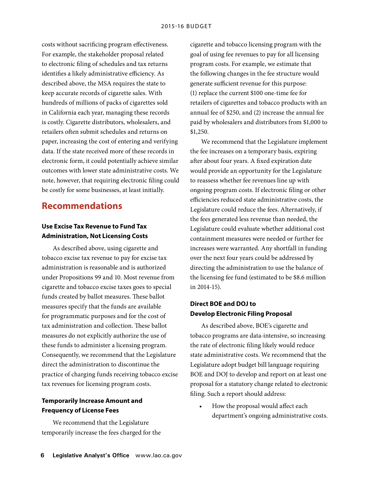costs without sacrificing program effectiveness. For example, the stakeholder proposal related to electronic filing of schedules and tax returns identifies a likely administrative efficiency. As described above, the MSA requires the state to keep accurate records of cigarette sales. With hundreds of millions of packs of cigarettes sold in California each year, managing these records is costly. Cigarette distributors, wholesalers, and retailers often submit schedules and returns on paper, increasing the cost of entering and verifying data. If the state received more of these records in electronic form, it could potentially achieve similar outcomes with lower state administrative costs. We note, however, that requiring electronic filing could be costly for some businesses, at least initially.

## **Recommendations**

### **Use Excise Tax Revenue to Fund Tax Administration, Not Licensing Costs**

As described above, using cigarette and tobacco excise tax revenue to pay for excise tax administration is reasonable and is authorized under Propositions 99 and 10. Most revenue from cigarette and tobacco excise taxes goes to special funds created by ballot measures. These ballot measures specify that the funds are available for programmatic purposes and for the cost of tax administration and collection. These ballot measures do not explicitly authorize the use of these funds to administer a licensing program. Consequently, we recommend that the Legislature direct the administration to discontinue the practice of charging funds receiving tobacco excise tax revenues for licensing program costs.

#### **Temporarily Increase Amount and Frequency of License Fees**

We recommend that the Legislature temporarily increase the fees charged for the cigarette and tobacco licensing program with the goal of using fee revenues to pay for all licensing program costs. For example, we estimate that the following changes in the fee structure would generate sufficient revenue for this purpose: (1) replace the current \$100 one-time fee for retailers of cigarettes and tobacco products with an annual fee of \$250, and (2) increase the annual fee paid by wholesalers and distributors from \$1,000 to \$1,250.

We recommend that the Legislature implement the fee increases on a temporary basis, expiring after about four years. A fixed expiration date would provide an opportunity for the Legislature to reassess whether fee revenues line up with ongoing program costs. If electronic filing or other efficiencies reduced state administrative costs, the Legislature could reduce the fees. Alternatively, if the fees generated less revenue than needed, the Legislature could evaluate whether additional cost containment measures were needed or further fee increases were warranted. Any shortfall in funding over the next four years could be addressed by directing the administration to use the balance of the licensing fee fund (estimated to be \$8.6 million in 2014-15).

## **Direct BOE and DOJ to Develop Electronic Filing Proposal**

As described above, BOE's cigarette and tobacco programs are data-intensive, so increasing the rate of electronic filing likely would reduce state administrative costs. We recommend that the Legislature adopt budget bill language requiring BOE and DOJ to develop and report on at least one proposal for a statutory change related to electronic filing. Such a report should address:

How the proposal would affect each department's ongoing administrative costs.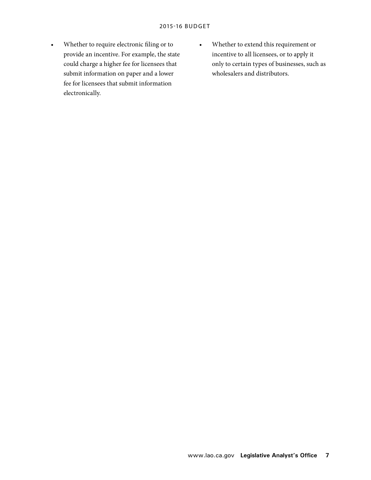- Whether to require electronic filing or to provide an incentive. For example, the state could charge a higher fee for licensees that submit information on paper and a lower fee for licensees that submit information electronically.
- Whether to extend this requirement or incentive to all licensees, or to apply it only to certain types of businesses, such as wholesalers and distributors.